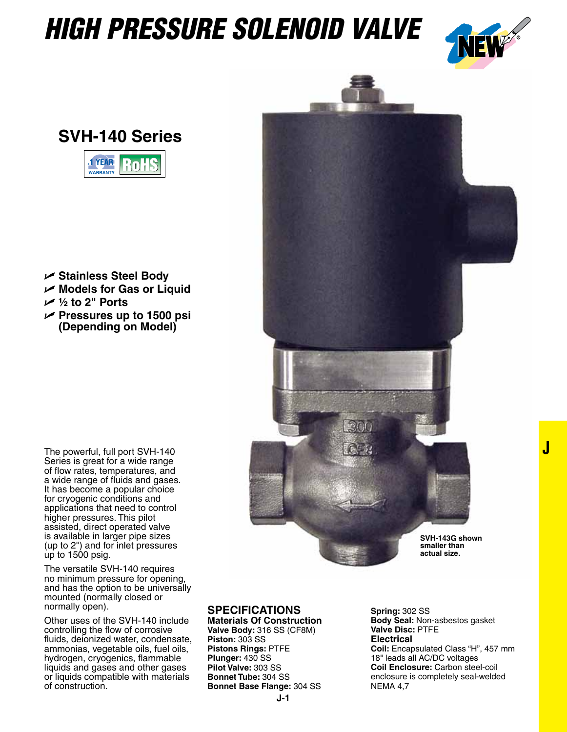## *HIGH PRESSURE SOLENOID VALVE*



**J**

**SVH-140 Series**



- U **Stainless Steel Body**
- U **Models for Gas or Liquid**
- U **½ to 2" Ports**
- U **Pressures up to 1500 psi (Depending on Model)**



The versatile SVH-140 requires no minimum pressure for opening, and has the option to be universally mounted (normally closed or normally open).

Other uses of the SVH-140 include controlling the flow of corrosive fluids, deionized water, condensate, ammonias, vegetable oils, fuel oils, hydrogen, cryogenics, flammable liquids and gases and other gases or liquids compatible with materials of construction.



## **Specifications**

**Materials Of Construction Valve Body:** 316 SS (CF8M) **Piston:** 303 SS **Pistons Rings:** PTFE **Plunger:** 430 SS **Pilot Valve:** 303 SS **Bonnet Tube:** 304 SS **Bonnet Base Flange:** 304 SS

**Spring:** 302 SS **Body Seal:** Non-asbestos gasket **Valve Disc:** PTFE **Electrical Coil:** Encapsulated Class "H", 457 mm 18" leads all AC/DC voltages **Coil Enclosure:** Carbon steel-coil enclosure is completely seal-welded NEMA 4,7